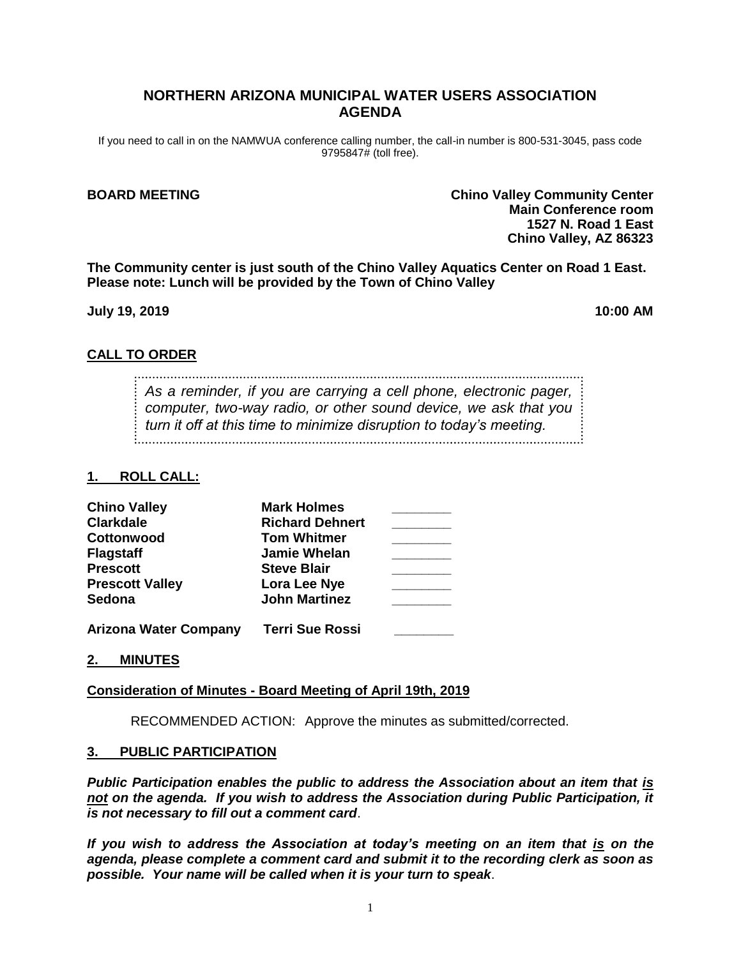## **NORTHERN ARIZONA MUNICIPAL WATER USERS ASSOCIATION AGENDA**

If you need to call in on the NAMWUA conference calling number, the call-in number is 800-531-3045, pass code 9795847# (toll free).

**BOARD MEETING Chino Valley Community Center Main Conference room 1527 N. Road 1 East Chino Valley, AZ 86323**

**The Community center is just south of the Chino Valley Aquatics Center on Road 1 East. Please note: Lunch will be provided by the Town of Chino Valley**

**July 19, 2019 10:00 AM**

### **CALL TO ORDER**

*As a reminder, if you are carrying a cell phone, electronic pager, computer, two-way radio, or other sound device, we ask that you turn it off at this time to minimize disruption to today's meeting.*

## **1. ROLL CALL:**

| <b>Chino Valley</b>          | <b>Mark Holmes</b>     |  |
|------------------------------|------------------------|--|
| <b>Clarkdale</b>             | <b>Richard Dehnert</b> |  |
| Cottonwood                   | <b>Tom Whitmer</b>     |  |
| <b>Flagstaff</b>             | <b>Jamie Whelan</b>    |  |
| <b>Prescott</b>              | <b>Steve Blair</b>     |  |
| <b>Prescott Valley</b>       | Lora Lee Nye           |  |
| Sedona                       | <b>John Martinez</b>   |  |
| <b>Arizona Water Company</b> | <b>Terri Sue Rossi</b> |  |

### **2. MINUTES**

### **Consideration of Minutes - Board Meeting of April 19th, 2019**

RECOMMENDED ACTION: Approve the minutes as submitted/corrected.

#### **3. PUBLIC PARTICIPATION**

*Public Participation enables the public to address the Association about an item that is not on the agenda. If you wish to address the Association during Public Participation, it is not necessary to fill out a comment card*.

*If you wish to address the Association at today's meeting on an item that is on the agenda, please complete a comment card and submit it to the recording clerk as soon as possible. Your name will be called when it is your turn to speak*.